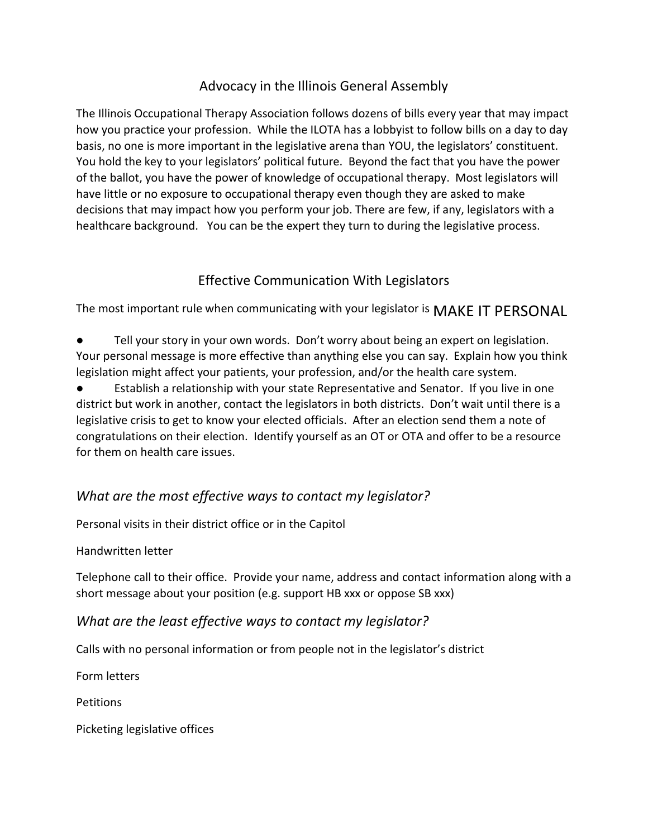## Advocacy in the Illinois General Assembly

The Illinois Occupational Therapy Association follows dozens of bills every year that may impact how you practice your profession. While the ILOTA has a lobbyist to follow bills on a day to day basis, no one is more important in the legislative arena than YOU, the legislators' constituent. You hold the key to your legislators' political future. Beyond the fact that you have the power of the ballot, you have the power of knowledge of occupational therapy. Most legislators will have little or no exposure to occupational therapy even though they are asked to make decisions that may impact how you perform your job. There are few, if any, legislators with a healthcare background. You can be the expert they turn to during the legislative process.

### Effective Communication With Legislators

The most important rule when communicating with your legislator is MAKE IT PERSONAL

- Tell your story in your own words. Don't worry about being an expert on legislation. Your personal message is more effective than anything else you can say. Explain how you think legislation might affect your patients, your profession, and/or the health care system.
- Establish a relationship with your state Representative and Senator. If you live in one district but work in another, contact the legislators in both districts. Don't wait until there is a legislative crisis to get to know your elected officials. After an election send them a note of congratulations on their election. Identify yourself as an OT or OTA and offer to be a resource for them on health care issues.

# *What are the most effective ways to contact my legislator?*

Personal visits in their district office or in the Capitol

#### Handwritten letter

Telephone call to their office. Provide your name, address and contact information along with a short message about your position (e.g. support HB xxx or oppose SB xxx)

### *What are the least effective ways to contact my legislator?*

Calls with no personal information or from people not in the legislator's district

Form letters

**Petitions** 

Picketing legislative offices